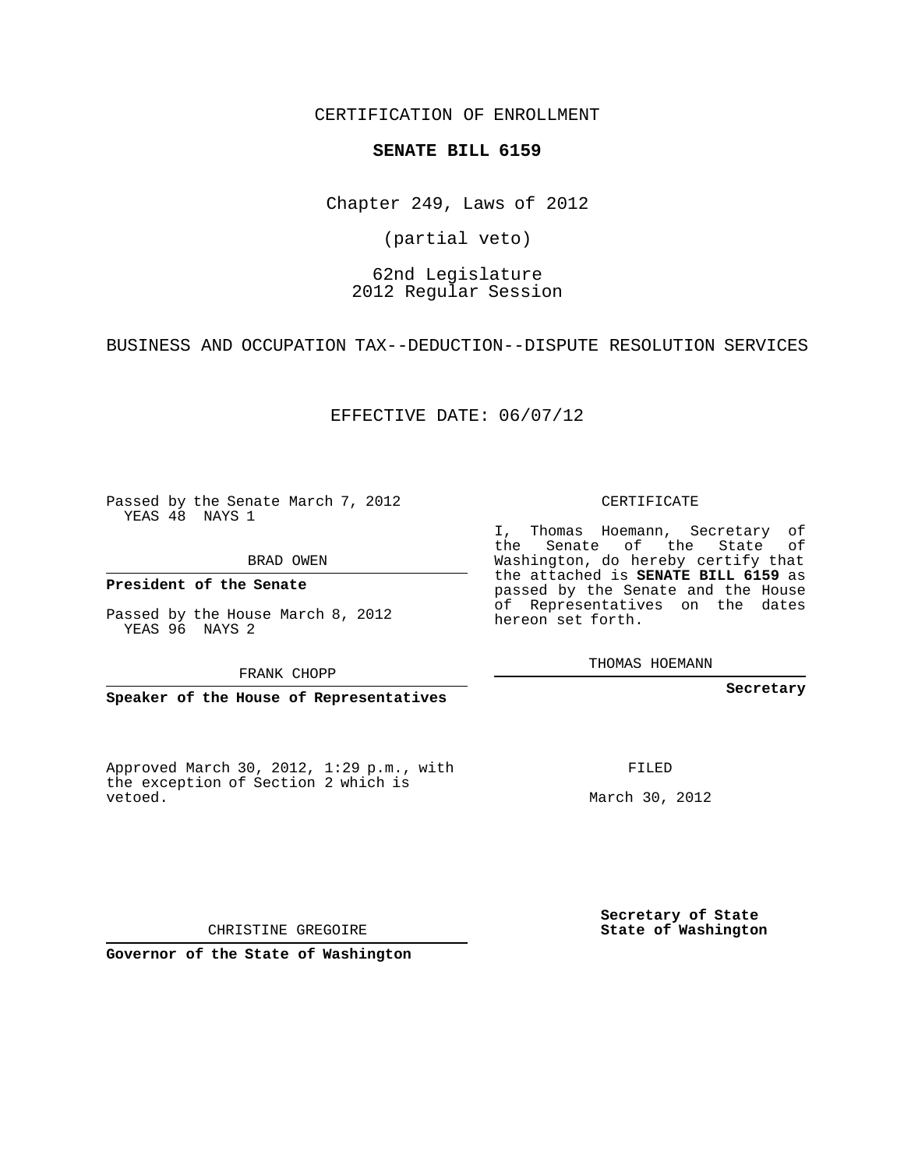CERTIFICATION OF ENROLLMENT

#### **SENATE BILL 6159**

Chapter 249, Laws of 2012

(partial veto)

# 62nd Legislature 2012 Regular Session

BUSINESS AND OCCUPATION TAX--DEDUCTION--DISPUTE RESOLUTION SERVICES

EFFECTIVE DATE: 06/07/12

Passed by the Senate March 7, 2012 YEAS 48 NAYS 1

BRAD OWEN

**President of the Senate**

Passed by the House March 8, 2012 YEAS 96 NAYS 2

FRANK CHOPP

**Speaker of the House of Representatives**

Approved March 30, 2012, 1:29 p.m., with the exception of Section 2 which is vetoed.

CERTIFICATE

I, Thomas Hoemann, Secretary of the Senate of the State of Washington, do hereby certify that the attached is **SENATE BILL 6159** as passed by the Senate and the House of Representatives on the dates hereon set forth.

THOMAS HOEMANN

**Secretary**

FILED

March 30, 2012

**Secretary of State State of Washington**

CHRISTINE GREGOIRE

**Governor of the State of Washington**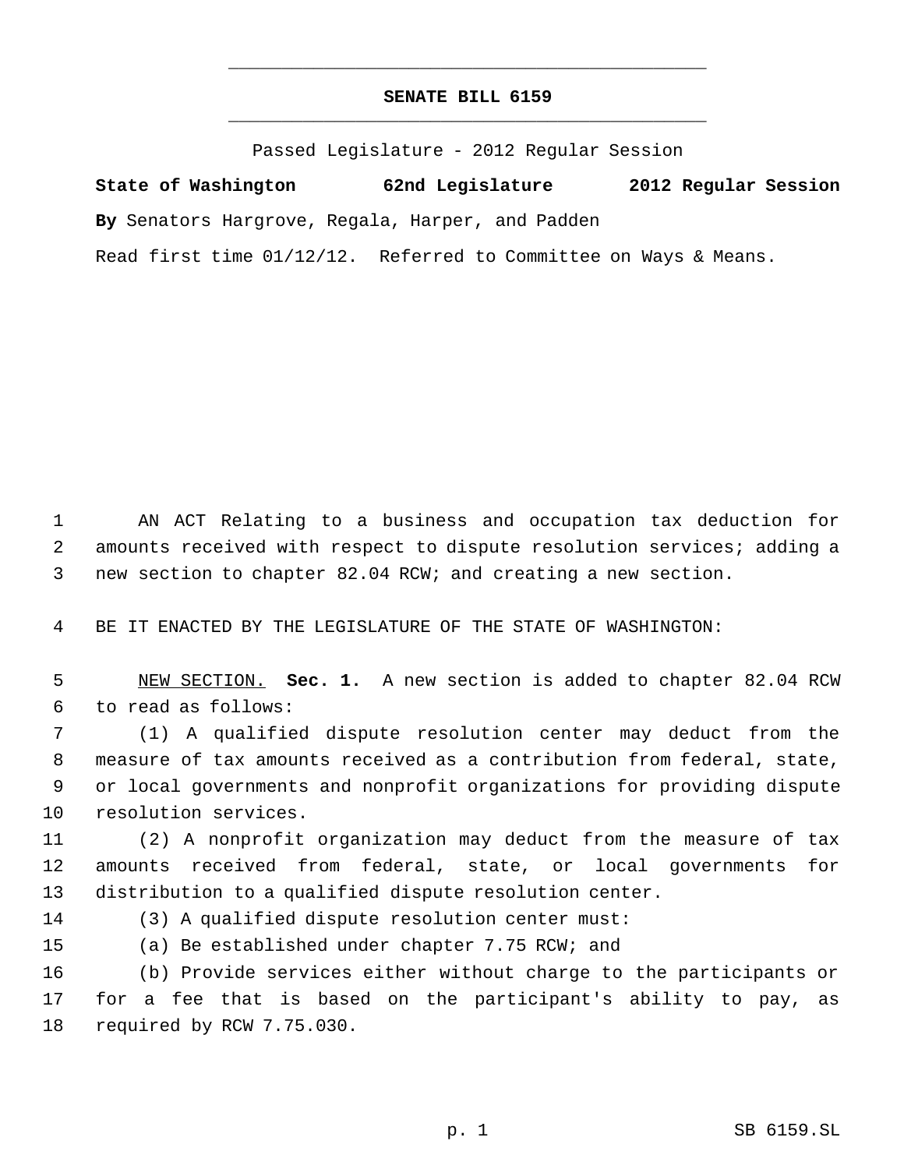# **SENATE BILL 6159** \_\_\_\_\_\_\_\_\_\_\_\_\_\_\_\_\_\_\_\_\_\_\_\_\_\_\_\_\_\_\_\_\_\_\_\_\_\_\_\_\_\_\_\_\_

\_\_\_\_\_\_\_\_\_\_\_\_\_\_\_\_\_\_\_\_\_\_\_\_\_\_\_\_\_\_\_\_\_\_\_\_\_\_\_\_\_\_\_\_\_

Passed Legislature - 2012 Regular Session

**State of Washington 62nd Legislature 2012 Regular Session By** Senators Hargrove, Regala, Harper, and Padden Read first time 01/12/12. Referred to Committee on Ways & Means.

 AN ACT Relating to a business and occupation tax deduction for amounts received with respect to dispute resolution services; adding a new section to chapter 82.04 RCW; and creating a new section.

BE IT ENACTED BY THE LEGISLATURE OF THE STATE OF WASHINGTON:

 NEW SECTION. **Sec. 1.** A new section is added to chapter 82.04 RCW to read as follows:

 (1) A qualified dispute resolution center may deduct from the measure of tax amounts received as a contribution from federal, state, or local governments and nonprofit organizations for providing dispute resolution services.

 (2) A nonprofit organization may deduct from the measure of tax amounts received from federal, state, or local governments for distribution to a qualified dispute resolution center.

(3) A qualified dispute resolution center must:

(a) Be established under chapter 7.75 RCW; and

 (b) Provide services either without charge to the participants or for a fee that is based on the participant's ability to pay, as required by RCW 7.75.030.